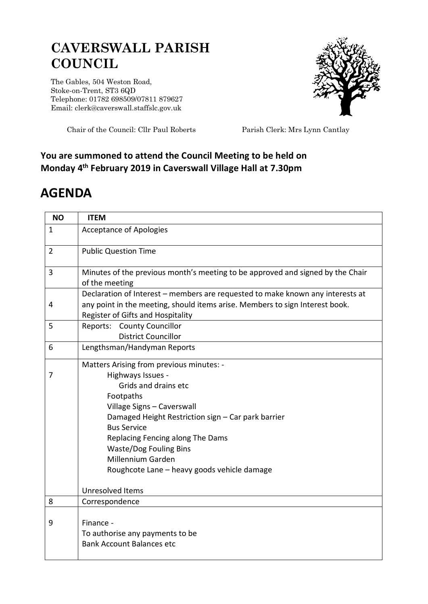## **CAVERSWALL PARISH COUNCIL**

The Gables, 504 Weston Road, Stoke-on-Trent, ST3 6QD Telephone: 01782 698509/07811 879627 Email: clerk@caverswall.staffslc.gov.uk



Chair of the Council: Cllr Paul Roberts Parish Clerk: Mrs Lynn Cantlay

## **You are summoned to attend the Council Meeting to be held on Monday 4 th February 2019 in Caverswall Village Hall at 7.30pm**

## **AGENDA**

| <b>NO</b>      | <b>ITEM</b>                                                                                                                                                                                                                                                                                                                                                  |
|----------------|--------------------------------------------------------------------------------------------------------------------------------------------------------------------------------------------------------------------------------------------------------------------------------------------------------------------------------------------------------------|
| $\mathbf{1}$   | <b>Acceptance of Apologies</b>                                                                                                                                                                                                                                                                                                                               |
| $\overline{2}$ | <b>Public Question Time</b>                                                                                                                                                                                                                                                                                                                                  |
| 3              | Minutes of the previous month's meeting to be approved and signed by the Chair<br>of the meeting                                                                                                                                                                                                                                                             |
| 4              | Declaration of Interest - members are requested to make known any interests at<br>any point in the meeting, should items arise. Members to sign Interest book.<br>Register of Gifts and Hospitality                                                                                                                                                          |
| 5              | Reports: County Councillor<br><b>District Councillor</b>                                                                                                                                                                                                                                                                                                     |
| 6              | Lengthsman/Handyman Reports                                                                                                                                                                                                                                                                                                                                  |
| 7              | Matters Arising from previous minutes: -<br>Highways Issues -<br>Grids and drains etc<br>Footpaths<br>Village Signs - Caverswall<br>Damaged Height Restriction sign - Car park barrier<br><b>Bus Service</b><br>Replacing Fencing along The Dams<br><b>Waste/Dog Fouling Bins</b><br><b>Millennium Garden</b><br>Roughcote Lane - heavy goods vehicle damage |
| 8              | Unresolved Items<br>Correspondence                                                                                                                                                                                                                                                                                                                           |
| 9              | Finance -<br>To authorise any payments to be<br><b>Bank Account Balances etc</b>                                                                                                                                                                                                                                                                             |